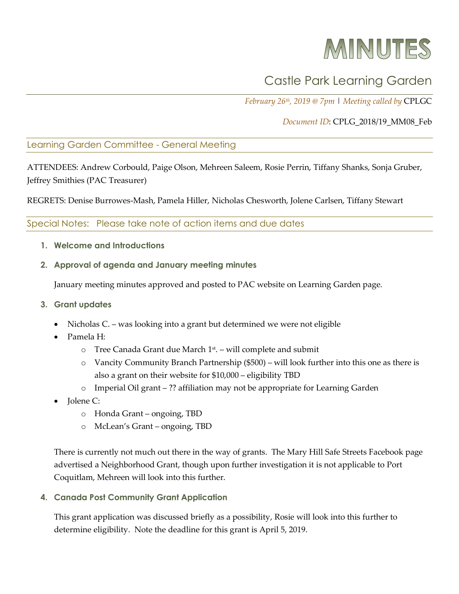# MINUTES

## Castle Park Learning Garden

*February 26th, 2019 @ 7pm* | *Meeting called by* CPLGC

#### *Document ID*: CPLG\_2018/19\_MM08\_Feb

#### Learning Garden Committee - General Meeting

ATTENDEES: Andrew Corbould, Paige Olson, Mehreen Saleem, Rosie Perrin, Tiffany Shanks, Sonja Gruber, Jeffrey Smithies (PAC Treasurer)

REGRETS: Denise Burrowes-Mash, Pamela Hiller, Nicholas Chesworth, Jolene Carlsen, Tiffany Stewart

### Special Notes: Please take note of action items and due dates

- **1. Welcome and Introductions**
- **2. Approval of agenda and January meeting minutes**

January meeting minutes approved and posted to PAC website on Learning Garden page.

#### **3. Grant updates**

- Nicholas C. was looking into a grant but determined we were not eligible
- Pamela H:
	- $\circ$  Tree Canada Grant due March 1<sup>st</sup>. will complete and submit
	- o Vancity Community Branch Partnership (\$500) will look further into this one as there is also a grant on their website for \$10,000 – eligibility TBD
	- o Imperial Oil grant ?? affiliation may not be appropriate for Learning Garden
- **Jolene C:** 
	- o Honda Grant ongoing, TBD
	- o McLean's Grant ongoing, TBD

There is currently not much out there in the way of grants. The Mary Hill Safe Streets Facebook page advertised a Neighborhood Grant, though upon further investigation it is not applicable to Port Coquitlam, Mehreen will look into this further.

**4. Canada Post Community Grant Application**

This grant application was discussed briefly as a possibility, Rosie will look into this further to determine eligibility. Note the deadline for this grant is April 5, 2019.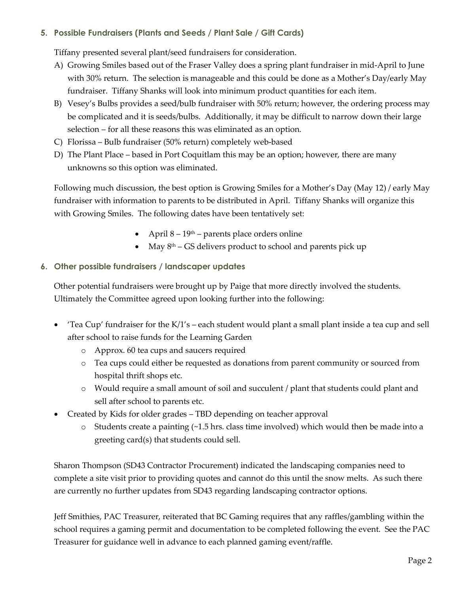#### **5. Possible Fundraisers (Plants and Seeds / Plant Sale / Gift Cards)**

Tiffany presented several plant/seed fundraisers for consideration.

- A) Growing Smiles based out of the Fraser Valley does a spring plant fundraiser in mid-April to June with 30% return. The selection is manageable and this could be done as a Mother's Day/early May fundraiser. Tiffany Shanks will look into minimum product quantities for each item.
- B) Vesey's Bulbs provides a seed/bulb fundraiser with 50% return; however, the ordering process may be complicated and it is seeds/bulbs. Additionally, it may be difficult to narrow down their large selection – for all these reasons this was eliminated as an option.
- C) Florissa Bulb fundraiser (50% return) completely web-based
- D) The Plant Place based in Port Coquitlam this may be an option; however, there are many unknowns so this option was eliminated.

Following much discussion, the best option is Growing Smiles for a Mother's Day (May 12) / early May fundraiser with information to parents to be distributed in April. Tiffany Shanks will organize this with Growing Smiles. The following dates have been tentatively set:

- April  $8 19$ <sup>th</sup> parents place orders online
- May  $8<sup>th</sup> GS$  delivers product to school and parents pick up

### **6. Other possible fundraisers / landscaper updates**

Other potential fundraisers were brought up by Paige that more directly involved the students. Ultimately the Committee agreed upon looking further into the following:

- 'Tea Cup' fundraiser for the K/1's each student would plant a small plant inside a tea cup and sell after school to raise funds for the Learning Garden
	- o Approx. 60 tea cups and saucers required
	- o Tea cups could either be requested as donations from parent community or sourced from hospital thrift shops etc.
	- o Would require a small amount of soil and succulent / plant that students could plant and sell after school to parents etc.
- Created by Kids for older grades TBD depending on teacher approval
	- $\circ$  Students create a painting  $\sim$  1.5 hrs. class time involved) which would then be made into a greeting card(s) that students could sell.

Sharon Thompson (SD43 Contractor Procurement) indicated the landscaping companies need to complete a site visit prior to providing quotes and cannot do this until the snow melts. As such there are currently no further updates from SD43 regarding landscaping contractor options.

Jeff Smithies, PAC Treasurer, reiterated that BC Gaming requires that any raffles/gambling within the school requires a gaming permit and documentation to be completed following the event. See the PAC Treasurer for guidance well in advance to each planned gaming event/raffle.